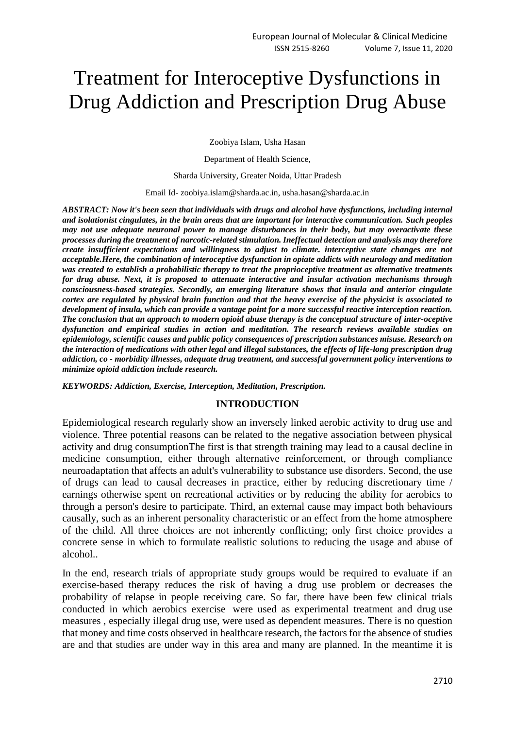# Treatment for Interoceptive Dysfunctions in Drug Addiction and Prescription Drug Abuse

Zoobiya Islam, Usha Hasan

Department of Health Science,

Sharda University, Greater Noida, Uttar Pradesh

Email Id- zoobiya.islam@sharda.ac.in, usha.hasan@sharda.ac.in

*ABSTRACT: Now it's been seen that individuals with drugs and alcohol have dysfunctions, including internal and isolationist cingulates, in the brain areas that are important for interactive communication. Such peoples may not use adequate neuronal power to manage disturbances in their body, but may overactivate these processes during the treatment of narcotic-related stimulation. Ineffectual detection and analysis may therefore create insufficient expectations and willingness to adjust to climate. interceptive state changes are not acceptable.Here, the combination of interoceptive dysfunction in opiate addicts with neurology and meditation was created to establish a probabilistic therapy to treat the proprioceptive treatment as alternative treatments for drug abuse. Next, it is proposed to attenuate interactive and insular activation mechanisms through consciousness-based strategies. Secondly, an emerging literature shows that insula and anterior cingulate cortex are regulated by physical brain function and that the heavy exercise of the physicist is associated to development of insula, which can provide a vantage point for a more successful reactive interception reaction. The conclusion that an approach to modern opioid abuse therapy is the conceptual structure of inter-oceptive dysfunction and empirical studies in action and meditation. The research reviews available studies on epidemiology, scientific causes and public policy consequences of prescription substances misuse. Research on the interaction of medications with other legal and illegal substances, the effects of life-long prescription drug addiction, co - morbidity illnesses, adequate drug treatment, and successful government policy interventions to minimize opioid addiction include research.*

*KEYWORDS: Addiction, Exercise, Interception, Meditation, Prescription.*

#### **INTRODUCTION**

Epidemiological research regularly show an inversely linked aerobic activity to drug use and violence. Three potential reasons can be related to the negative association between physical activity and drug consumptionThe first is that strength training may lead to a causal decline in medicine consumption, either through alternative reinforcement, or through compliance neuroadaptation that affects an adult's vulnerability to substance use disorders. Second, the use of drugs can lead to causal decreases in practice, either by reducing discretionary time / earnings otherwise spent on recreational activities or by reducing the ability for aerobics to through a person's desire to participate. Third, an external cause may impact both behaviours causally, such as an inherent personality characteristic or an effect from the home atmosphere of the child. All three choices are not inherently conflicting; only first choice provides a concrete sense in which to formulate realistic solutions to reducing the usage and abuse of alcohol..

In the end, research trials of appropriate study groups would be required to evaluate if an exercise-based therapy reduces the risk of having a drug use problem or decreases the probability of relapse in people receiving care. So far, there have been few clinical trials conducted in which aerobics exercise were used as experimental treatment and drug use measures , especially illegal drug use, were used as dependent measures. There is no question that money and time costs observed in healthcare research, the factors for the absence of studies are and that studies are under way in this area and many are planned. In the meantime it is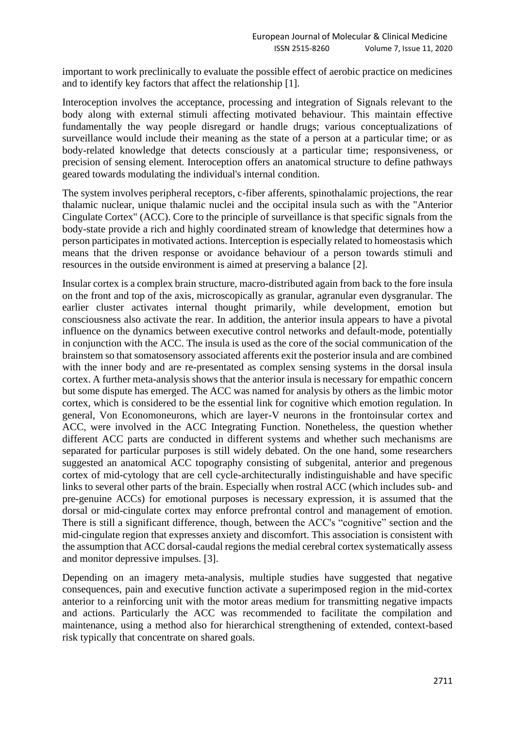important to work preclinically to evaluate the possible effect of aerobic practice on medicines and to identify key factors that affect the relationship [1].

Interoception involves the acceptance, processing and integration of Signals relevant to the body along with external stimuli affecting motivated behaviour. This maintain effective fundamentally the way people disregard or handle drugs; various conceptualizations of surveillance would include their meaning as the state of a person at a particular time; or as body-related knowledge that detects consciously at a particular time; responsiveness, or precision of sensing element. Interoception offers an anatomical structure to define pathways geared towards modulating the individual's internal condition.

The system involves peripheral receptors, c-fiber afferents, spinothalamic projections, the rear thalamic nuclear, unique thalamic nuclei and the occipital insula such as with the "Anterior Cingulate Cortex" (ACC). Core to the principle of surveillance is that specific signals from the body-state provide a rich and highly coordinated stream of knowledge that determines how a person participates in motivated actions. Interception is especially related to homeostasis which means that the driven response or avoidance behaviour of a person towards stimuli and resources in the outside environment is aimed at preserving a balance [2].

Insular cortex is a complex brain structure, macro-distributed again from back to the fore insula on the front and top of the axis, microscopically as granular, agranular even dysgranular. The earlier cluster activates internal thought primarily, while development, emotion but consciousness also activate the rear. In addition, the anterior insula appears to have a pivotal influence on the dynamics between executive control networks and default-mode, potentially in conjunction with the ACC. The insula is used as the core of the social communication of the brainstem so that somatosensory associated afferents exit the posterior insula and are combined with the inner body and are re-presentated as complex sensing systems in the dorsal insula cortex. A further meta-analysis shows that the anterior insula is necessary for empathic concern but some dispute has emerged. The ACC was named for analysis by others as the limbic motor cortex, which is considered to be the essential link for cognitive which emotion regulation. In general, Von Economoneurons, which are layer-V neurons in the frontoinsular cortex and ACC, were involved in the ACC Integrating Function. Nonetheless, the question whether different ACC parts are conducted in different systems and whether such mechanisms are separated for particular purposes is still widely debated. On the one hand, some researchers suggested an anatomical ACC topography consisting of subgenital, anterior and pregenous cortex of mid-cytology that are cell cycle-architecturally indistinguishable and have specific links to several other parts of the brain. Especially when rostral ACC (which includes sub- and pre-genuine ACCs) for emotional purposes is necessary expression, it is assumed that the dorsal or mid-cingulate cortex may enforce prefrontal control and management of emotion. There is still a significant difference, though, between the ACC's "cognitive" section and the mid-cingulate region that expresses anxiety and discomfort. This association is consistent with the assumption that ACC dorsal-caudal regions the medial cerebral cortex systematically assess and monitor depressive impulses. [3].

Depending on an imagery meta-analysis, multiple studies have suggested that negative consequences, pain and executive function activate a superimposed region in the mid-cortex anterior to a reinforcing unit with the motor areas medium for transmitting negative impacts and actions. Particularly the ACC was recommended to facilitate the compilation and maintenance, using a method also for hierarchical strengthening of extended, context-based risk typically that concentrate on shared goals.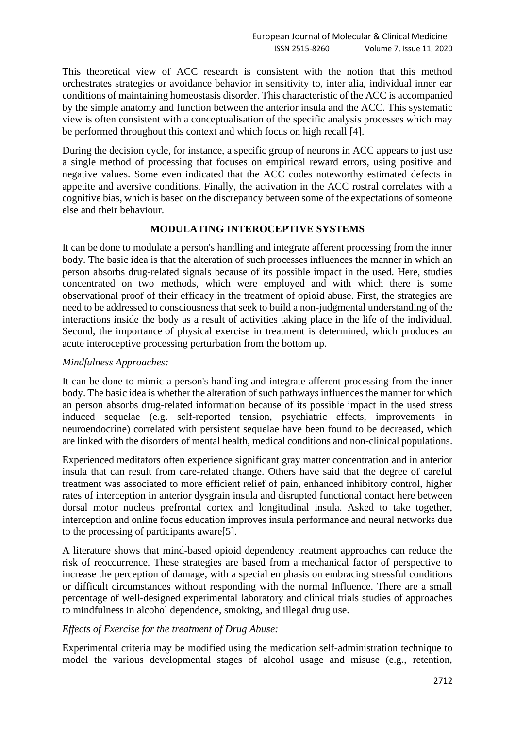This theoretical view of ACC research is consistent with the notion that this method orchestrates strategies or avoidance behavior in sensitivity to, inter alia, individual inner ear conditions of maintaining homeostasis disorder. This characteristic of the ACC is accompanied by the simple anatomy and function between the anterior insula and the ACC. This systematic view is often consistent with a conceptualisation of the specific analysis processes which may be performed throughout this context and which focus on high recall [4].

During the decision cycle, for instance, a specific group of neurons in ACC appears to just use a single method of processing that focuses on empirical reward errors, using positive and negative values. Some even indicated that the ACC codes noteworthy estimated defects in appetite and aversive conditions. Finally, the activation in the ACC rostral correlates with a cognitive bias, which is based on the discrepancy between some of the expectations of someone else and their behaviour.

## **MODULATING INTEROCEPTIVE SYSTEMS**

It can be done to modulate a person's handling and integrate afferent processing from the inner body. The basic idea is that the alteration of such processes influences the manner in which an person absorbs drug-related signals because of its possible impact in the used. Here, studies concentrated on two methods, which were employed and with which there is some observational proof of their efficacy in the treatment of opioid abuse. First, the strategies are need to be addressed to consciousness that seek to build a non-judgmental understanding of the interactions inside the body as a result of activities taking place in the life of the individual. Second, the importance of physical exercise in treatment is determined, which produces an acute interoceptive processing perturbation from the bottom up.

### *Mindfulness Approaches:*

It can be done to mimic a person's handling and integrate afferent processing from the inner body. The basic idea is whether the alteration of such pathways influences the manner for which an person absorbs drug-related information because of its possible impact in the used stress induced sequelae (e.g. self-reported tension, psychiatric effects, improvements in neuroendocrine) correlated with persistent sequelae have been found to be decreased, which are linked with the disorders of mental health, medical conditions and non-clinical populations.

Experienced meditators often experience significant gray matter concentration and in anterior insula that can result from care-related change. Others have said that the degree of careful treatment was associated to more efficient relief of pain, enhanced inhibitory control, higher rates of interception in anterior dysgrain insula and disrupted functional contact here between dorsal motor nucleus prefrontal cortex and longitudinal insula. Asked to take together, interception and online focus education improves insula performance and neural networks due to the processing of participants aware[5].

A literature shows that mind-based opioid dependency treatment approaches can reduce the risk of reoccurrence. These strategies are based from a mechanical factor of perspective to increase the perception of damage, with a special emphasis on embracing stressful conditions or difficult circumstances without responding with the normal Influence. There are a small percentage of well-designed experimental laboratory and clinical trials studies of approaches to mindfulness in alcohol dependence, smoking, and illegal drug use.

### *Effects of Exercise for the treatment of Drug Abuse:*

Experimental criteria may be modified using the medication self-administration technique to model the various developmental stages of alcohol usage and misuse (e.g., retention,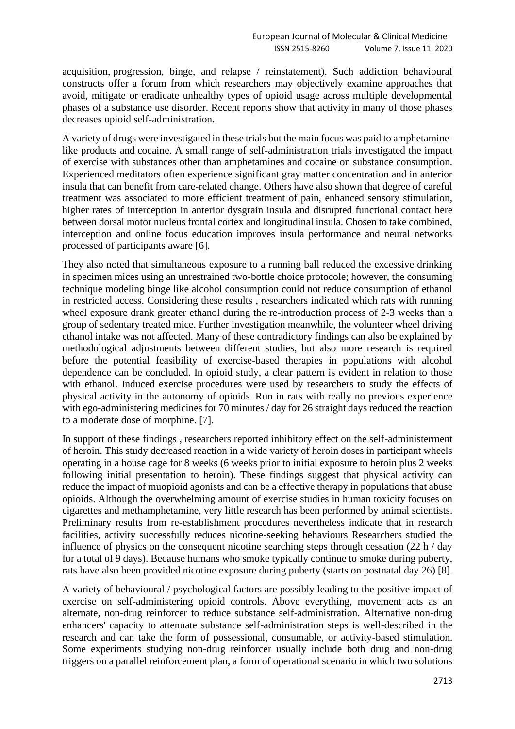acquisition, progression, binge, and relapse / reinstatement). Such addiction behavioural constructs offer a forum from which researchers may objectively examine approaches that avoid, mitigate or eradicate unhealthy types of opioid usage across multiple developmental phases of a substance use disorder. Recent reports show that activity in many of those phases decreases opioid self-administration.

A variety of drugs were investigated in these trials but the main focus was paid to amphetaminelike products and cocaine. A small range of self-administration trials investigated the impact of exercise with substances other than amphetamines and cocaine on substance consumption. Experienced meditators often experience significant gray matter concentration and in anterior insula that can benefit from care-related change. Others have also shown that degree of careful treatment was associated to more efficient treatment of pain, enhanced sensory stimulation, higher rates of interception in anterior dysgrain insula and disrupted functional contact here between dorsal motor nucleus frontal cortex and longitudinal insula. Chosen to take combined, interception and online focus education improves insula performance and neural networks processed of participants aware [6].

They also noted that simultaneous exposure to a running ball reduced the excessive drinking in specimen mices using an unrestrained two-bottle choice protocole; however, the consuming technique modeling binge like alcohol consumption could not reduce consumption of ethanol in restricted access. Considering these results , researchers indicated which rats with running wheel exposure drank greater ethanol during the re-introduction process of 2-3 weeks than a group of sedentary treated mice. Further investigation meanwhile, the volunteer wheel driving ethanol intake was not affected. Many of these contradictory findings can also be explained by methodological adjustments between different studies, but also more research is required before the potential feasibility of exercise-based therapies in populations with alcohol dependence can be concluded. In opioid study, a clear pattern is evident in relation to those with ethanol. Induced exercise procedures were used by researchers to study the effects of physical activity in the autonomy of opioids. Run in rats with really no previous experience with ego-administering medicines for 70 minutes / day for 26 straight days reduced the reaction to a moderate dose of morphine. [7].

In support of these findings , researchers reported inhibitory effect on the self-administerment of heroin. This study decreased reaction in a wide variety of heroin doses in participant wheels operating in a house cage for 8 weeks (6 weeks prior to initial exposure to heroin plus 2 weeks following initial presentation to heroin). These findings suggest that physical activity can reduce the impact of muopioid agonists and can be a effective therapy in populations that abuse opioids. Although the overwhelming amount of exercise studies in human toxicity focuses on cigarettes and methamphetamine, very little research has been performed by animal scientists. Preliminary results from re-establishment procedures nevertheless indicate that in research facilities, activity successfully reduces nicotine-seeking behaviours Researchers studied the influence of physics on the consequent nicotine searching steps through cessation (22 h / day for a total of 9 days). Because humans who smoke typically continue to smoke during puberty, rats have also been provided nicotine exposure during puberty (starts on postnatal day 26) [8].

A variety of behavioural / psychological factors are possibly leading to the positive impact of exercise on self-administering opioid controls. Above everything, movement acts as an alternate, non-drug reinforcer to reduce substance self-administration. Alternative non-drug enhancers' capacity to attenuate substance self-administration steps is well-described in the research and can take the form of possessional, consumable, or activity-based stimulation. Some experiments studying non-drug reinforcer usually include both drug and non-drug triggers on a parallel reinforcement plan, a form of operational scenario in which two solutions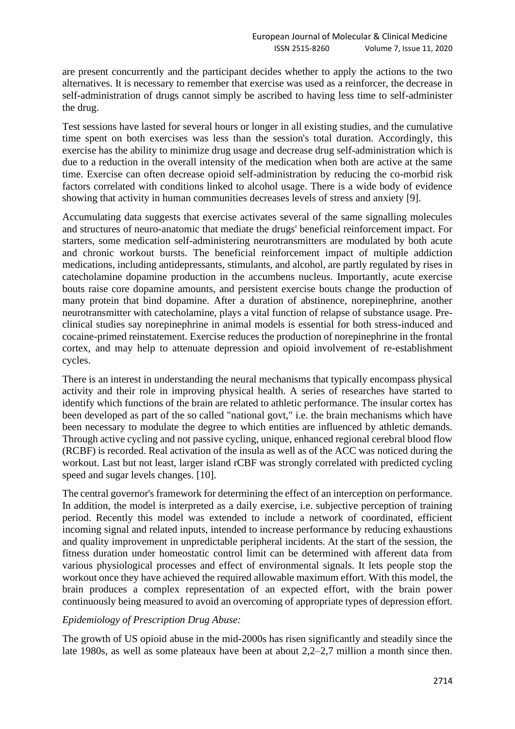are present concurrently and the participant decides whether to apply the actions to the two alternatives. It is necessary to remember that exercise was used as a reinforcer, the decrease in self-administration of drugs cannot simply be ascribed to having less time to self-administer the drug.

Test sessions have lasted for several hours or longer in all existing studies, and the cumulative time spent on both exercises was less than the session's total duration. Accordingly, this exercise has the ability to minimize drug usage and decrease drug self-administration which is due to a reduction in the overall intensity of the medication when both are active at the same time. Exercise can often decrease opioid self-administration by reducing the co-morbid risk factors correlated with conditions linked to alcohol usage. There is a wide body of evidence showing that activity in human communities decreases levels of stress and anxiety [9].

Accumulating data suggests that exercise activates several of the same signalling molecules and structures of neuro-anatomic that mediate the drugs' beneficial reinforcement impact. For starters, some medication self-administering neurotransmitters are modulated by both acute and chronic workout bursts. The beneficial reinforcement impact of multiple addiction medications, including antidepressants, stimulants, and alcohol, are partly regulated by rises in catecholamine dopamine production in the accumbens nucleus. Importantly, acute exercise bouts raise core dopamine amounts, and persistent exercise bouts change the production of many protein that bind dopamine. After a duration of abstinence, norepinephrine, another neurotransmitter with catecholamine, plays a vital function of relapse of substance usage. Preclinical studies say norepinephrine in animal models is essential for both stress-induced and cocaine-primed reinstatement. Exercise reduces the production of norepinephrine in the frontal cortex, and may help to attenuate depression and opioid involvement of re-establishment cycles.

There is an interest in understanding the neural mechanisms that typically encompass physical activity and their role in improving physical health. A series of researches have started to identify which functions of the brain are related to athletic performance. The insular cortex has been developed as part of the so called "national govt," i.e. the brain mechanisms which have been necessary to modulate the degree to which entities are influenced by athletic demands. Through active cycling and not passive cycling, unique, enhanced regional cerebral blood flow (RCBF) is recorded. Real activation of the insula as well as of the ACC was noticed during the workout. Last but not least, larger island rCBF was strongly correlated with predicted cycling speed and sugar levels changes. [10].

The central governor's framework for determining the effect of an interception on performance. In addition, the model is interpreted as a daily exercise, i.e. subjective perception of training period. Recently this model was extended to include a network of coordinated, efficient incoming signal and related inputs, intended to increase performance by reducing exhaustions and quality improvement in unpredictable peripheral incidents. At the start of the session, the fitness duration under homeostatic control limit can be determined with afferent data from various physiological processes and effect of environmental signals. It lets people stop the workout once they have achieved the required allowable maximum effort. With this model, the brain produces a complex representation of an expected effort, with the brain power continuously being measured to avoid an overcoming of appropriate types of depression effort.

# *Epidemiology of Prescription Drug Abuse:*

The growth of US opioid abuse in the mid-2000s has risen significantly and steadily since the late 1980s, as well as some plateaux have been at about 2,2–2,7 million a month since then.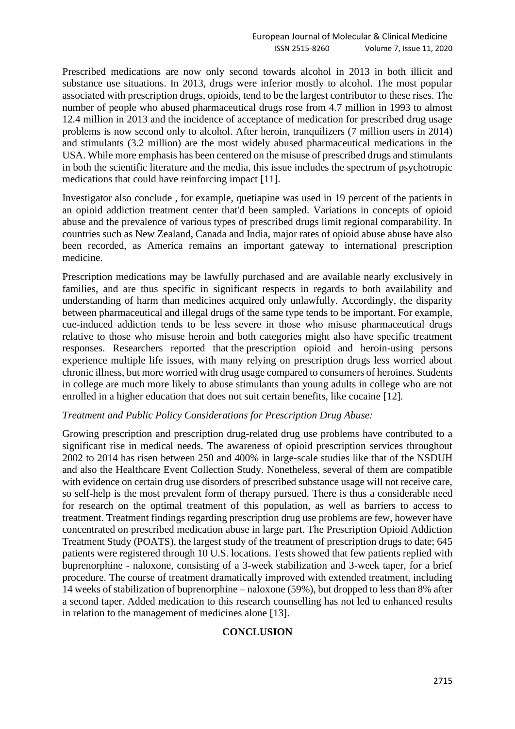Prescribed medications are now only second towards alcohol in 2013 in both illicit and substance use situations. In 2013, drugs were inferior mostly to alcohol. The most popular associated with prescription drugs, opioids, tend to be the largest contributor to these rises. The number of people who abused pharmaceutical drugs rose from 4.7 million in 1993 to almost 12.4 million in 2013 and the incidence of acceptance of medication for prescribed drug usage problems is now second only to alcohol. After heroin, tranquilizers (7 million users in 2014) and stimulants (3.2 million) are the most widely abused pharmaceutical medications in the USA. While more emphasis has been centered on the misuse of prescribed drugs and stimulants in both the scientific literature and the media, this issue includes the spectrum of psychotropic medications that could have reinforcing impact [11].

Investigator also conclude , for example, quetiapine was used in 19 percent of the patients in an opioid addiction treatment center that'd been sampled. Variations in concepts of opioid abuse and the prevalence of various types of prescribed drugs limit regional comparability. In countries such as New Zealand, Canada and India, major rates of opioid abuse abuse have also been recorded, as America remains an important gateway to international prescription medicine.

Prescription medications may be lawfully purchased and are available nearly exclusively in families, and are thus specific in significant respects in regards to both availability and understanding of harm than medicines acquired only unlawfully. Accordingly, the disparity between pharmaceutical and illegal drugs of the same type tends to be important. For example, cue-induced addiction tends to be less severe in those who misuse pharmaceutical drugs relative to those who misuse heroin and both categories might also have specific treatment responses. Researchers reported that the prescription opioid and heroin-using persons experience multiple life issues, with many relying on prescription drugs less worried about chronic illness, but more worried with drug usage compared to consumers of heroines. Students in college are much more likely to abuse stimulants than young adults in college who are not enrolled in a higher education that does not suit certain benefits, like cocaine [12].

#### *Treatment and Public Policy Considerations for Prescription Drug Abuse:*

Growing prescription and prescription drug-related drug use problems have contributed to a significant rise in medical needs. The awareness of opioid prescription services throughout 2002 to 2014 has risen between 250 and 400% in large-scale studies like that of the NSDUH and also the Healthcare Event Collection Study. Nonetheless, several of them are compatible with evidence on certain drug use disorders of prescribed substance usage will not receive care, so self-help is the most prevalent form of therapy pursued. There is thus a considerable need for research on the optimal treatment of this population, as well as barriers to access to treatment. Treatment findings regarding prescription drug use problems are few, however have concentrated on prescribed medication abuse in large part. The Prescription Opioid Addiction Treatment Study (POATS), the largest study of the treatment of prescription drugs to date; 645 patients were registered through 10 U.S. locations. Tests showed that few patients replied with buprenorphine - naloxone, consisting of a 3-week stabilization and 3-week taper, for a brief procedure. The course of treatment dramatically improved with extended treatment, including 14 weeks of stabilization of buprenorphine – naloxone (59%), but dropped to less than 8% after a second taper. Added medication to this research counselling has not led to enhanced results in relation to the management of medicines alone [13].

### **CONCLUSION**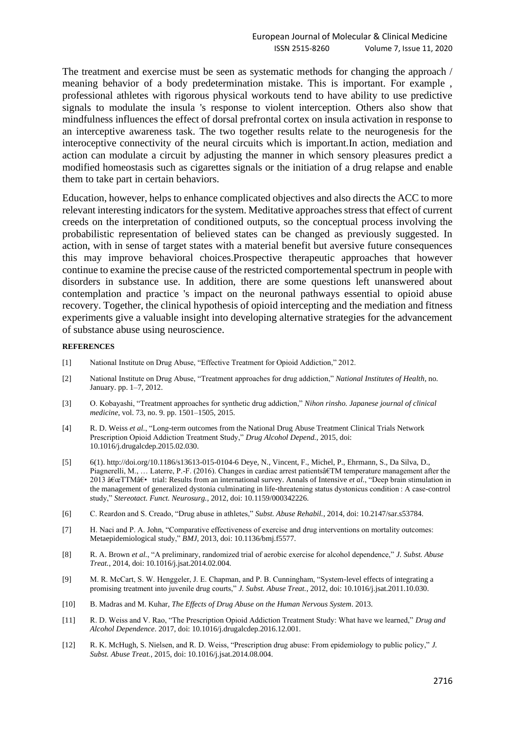The treatment and exercise must be seen as systematic methods for changing the approach / meaning behavior of a body predetermination mistake. This is important. For example , professional athletes with rigorous physical workouts tend to have ability to use predictive signals to modulate the insula 's response to violent interception. Others also show that mindfulness influences the effect of dorsal prefrontal cortex on insula activation in response to an interceptive awareness task. The two together results relate to the neurogenesis for the interoceptive connectivity of the neural circuits which is important.In action, mediation and action can modulate a circuit by adjusting the manner in which sensory pleasures predict a modified homeostasis such as cigarettes signals or the initiation of a drug relapse and enable them to take part in certain behaviors.

Education, however, helps to enhance complicated objectives and also directs the ACC to more relevant interesting indicators for the system. Meditative approaches stress that effect of current creeds on the interpretation of conditioned outputs, so the conceptual process involving the probabilistic representation of believed states can be changed as previously suggested. In action, with in sense of target states with a material benefit but aversive future consequences this may improve behavioral choices.Prospective therapeutic approaches that however continue to examine the precise cause of the restricted comportemental spectrum in people with disorders in substance use. In addition, there are some questions left unanswered about contemplation and practice 's impact on the neuronal pathways essential to opioid abuse recovery. Together, the clinical hypothesis of opioid intercepting and the mediation and fitness experiments give a valuable insight into developing alternative strategies for the advancement of substance abuse using neuroscience.

#### **REFERENCES**

- [1] National Institute on Drug Abuse, "Effective Treatment for Opioid Addiction," 2012.
- [2] National Institute on Drug Abuse, "Treatment approaches for drug addiction," *National Institutes of Health*, no. January. pp. 1–7, 2012.
- [3] O. Kobayashi, "Treatment approaches for synthetic drug addiction," *Nihon rinsho. Japanese journal of clinical medicine*, vol. 73, no. 9. pp. 1501–1505, 2015.
- [4] R. D. Weiss *et al.*, "Long-term outcomes from the National Drug Abuse Treatment Clinical Trials Network Prescription Opioid Addiction Treatment Study," *Drug Alcohol Depend.*, 2015, doi: 10.1016/j.drugalcdep.2015.02.030.
- [5] 6(1). http://doi.org/10.1186/s13613-015-0104-6 Deye, N., Vincent, F., Michel, P., Ehrmann, S., Da Silva, D., Piagnerelli, M., … Laterre, P.-F. (2016). Changes in cardiac arrest patientsâ€TM temperature management after the 2013 "TTM†trial: Results from an international survey. Annals of Intensive *et al.*, "Deep brain stimulation in the management of generalized dystonia culminating in life-threatening status dystonicus condition : A case-control study," *Stereotact. Funct. Neurosurg.*, 2012, doi: 10.1159/000342226.
- [6] C. Reardon and S. Creado, "Drug abuse in athletes," *Subst. Abuse Rehabil.*, 2014, doi: 10.2147/sar.s53784.
- [7] H. Naci and P. A. John, "Comparative effectiveness of exercise and drug interventions on mortality outcomes: Metaepidemiological study," *BMJ*, 2013, doi: 10.1136/bmj.f5577.
- [8] R. A. Brown *et al.*, "A preliminary, randomized trial of aerobic exercise for alcohol dependence," *J. Subst. Abuse Treat.*, 2014, doi: 10.1016/j.jsat.2014.02.004.
- [9] M. R. McCart, S. W. Henggeler, J. E. Chapman, and P. B. Cunningham, "System-level effects of integrating a promising treatment into juvenile drug courts," *J. Subst. Abuse Treat.*, 2012, doi: 10.1016/j.jsat.2011.10.030.
- [10] B. Madras and M. Kuhar, *The Effects of Drug Abuse on the Human Nervous System*. 2013.
- [11] R. D. Weiss and V. Rao, "The Prescription Opioid Addiction Treatment Study: What have we learned," *Drug and Alcohol Dependence*. 2017, doi: 10.1016/j.drugalcdep.2016.12.001.
- [12] R. K. McHugh, S. Nielsen, and R. D. Weiss, "Prescription drug abuse: From epidemiology to public policy," *J. Subst. Abuse Treat.*, 2015, doi: 10.1016/j.jsat.2014.08.004.